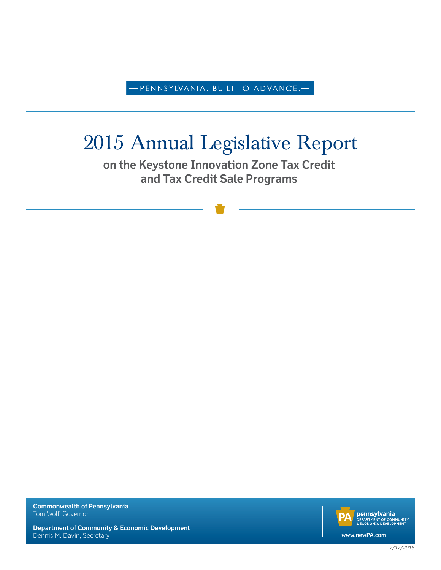-PENNSYLVANIA. BUILT TO ADVANCE.—

# 2015 Annual Legislative Report

**on the Keystone Innovation Zone Tax Credit and Tax Credit Sale Programs**

**Commonwealth of Pennsylvania** Tom Wolf, Governor

**pennsylvania**<br>**DEPARTMENT OF COMMUNITY**<br>& ECONOMIC DEVELOPMENT **www.newPA.com**

**Department of Community & Economic Development** Dennis M. Davin, Secretary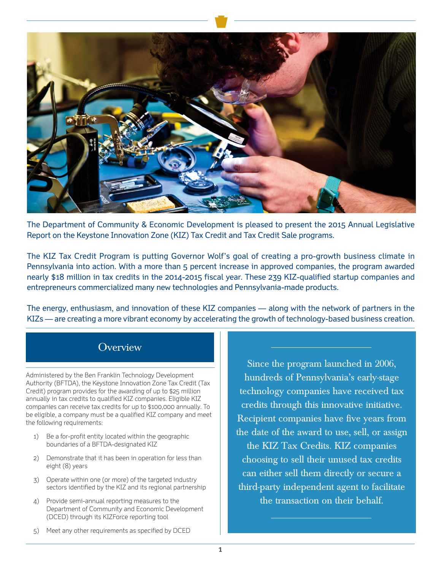

The Department of Community & Economic Development is pleased to present the 2015 Annual Legislative Report on the Keystone Innovation Zone (KIZ) Tax Credit and Tax Credit Sale programs.

The KIZ Tax Credit Program is putting Governor Wolf's goal of creating a pro-growth business climate in Pennsylvania into action. With a more than 5 percent increase in approved companies, the program awarded nearly \$18 million in tax credits in the 2014-2015 fiscal year. These 239 KIZ-qualified startup companies and entrepreneurs commercialized many new technologies and Pennsylvania-made products.

The energy, enthusiasm, and innovation of these KIZ companies — along with the network of partners in the KIZs — are creating a more vibrant economy by accelerating the growth of technology-based business creation.

### **Overview**

Administered by the Ben Franklin Technology Development Authority (BFTDA), the Keystone Innovation Zone Tax Credit (Tax Credit) program provides for the awarding of up to \$25 million annually in tax credits to qualified KIZ companies. Eligible KIZ companies can receive tax credits for up to \$100,000 annually. To be eligible, a company must be a qualified KIZ company and meet the following requirements:

- 1) Be a for-profit entity located within the geographic boundaries of a BFTDA-designated KIZ
- 2) Demonstrate that it has been in operation for less than eight (8) years
- 3) Operate within one (or more) of the targeted industry sectors identified by the KIZ and its regional partnership
- 4) Provide semi-annual reporting measures to the Department of Community and Economic Development (DCED) through its KIZForce reporting tool

Since the program launched in 2006, hundreds of Pennsylvania's early-stage technology companies have received tax credits through this innovative initiative. Recipient companies have five years from the date of the award to use, sell, or assign the KIZ Tax Credits. KIZ companies choosing to sell their unused tax credits can either sell them directly or secure a third-party independent agent to facilitate the transaction on their behalf.

5) Meet any other requirements as specified by DCED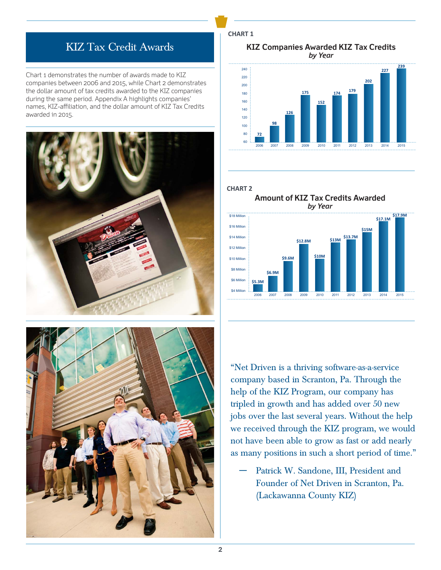## KIZ Tax Credit Awards

Chart 1 demonstrates the number of awards made to KIZ companies between 2006 and 2015, while Chart 2 demonstrates the dollar amount of tax credits awarded to the KIZ companies during the same period. Appendix A highlights companies' names, KIZ-affiliation, and the dollar amount of KIZ Tax Credits awarded in 2015.





**CHART 1**

by Year **KIZ Companies Awarded KIZ Tax Credits**



#### **CHART 2**





"Net Driven is a thriving software-as-a-service company based in Scranton, Pa. Through the help of the KIZ Program, our company has tripled in growth and has added over 50 new jobs over the last several years. Without the help we received through the KIZ program, we would not have been able to grow as fast or add nearly as many positions in such a short period of time."

Patrick W. Sandone, III, President and Founder of Net Driven in Scranton, Pa. (Lackawanna County KIZ)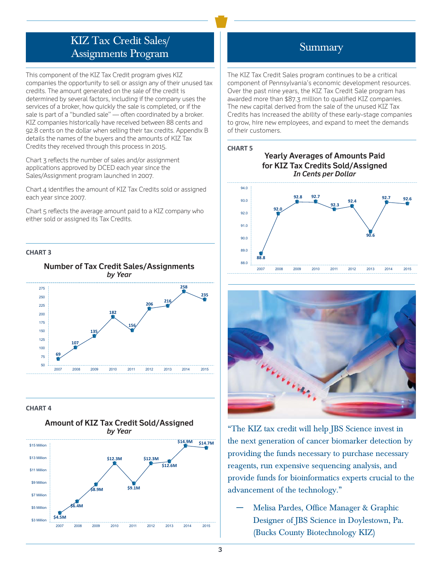# KIZ Tax Credit Sales/ Assignments Program

This component of the KIZ Tax Credit program gives KIZ companies the opportunity to sell or assign any of their unused tax credits. The amount generated on the sale of the credit is determined by several factors, including if the company uses the services of a broker, how quickly the sale is completed, or if the sale is part of a "bundled sale" — often coordinated by a broker. KIZ companies historically have received between 88 cents and 92.8 cents on the dollar when selling their tax credits. Appendix B details the names of the buyers and the amounts of KIZ Tax Credits they received through this process in 2015.

Chart 3 reflects the number of sales and/or assignment applications approved by DCED each year since the Sales/Assignment program launched in 2007.

Chart 4 identifies the amount of KIZ Tax Credits sold or assigned each year since 2007.

Chart 5 reflects the average amount paid to a KIZ company who either sold or assigned its Tax Credits.

### **CHART 3**



### **CHART 4**



### Summary

The KIZ Tax Credit Sales program continues to be a critical component of Pennsylvania's economic development resources. Over the past nine years, the KIZ Tax Credit Sale program has awarded more than \$87.3 million to qualified KIZ companies. The new capital derived from the sale of the unused KIZ Tax Credits has increased the ability of these early-stage companies to grow, hire new employees, and expand to meet the demands of their customers.









"The KIZ tax credit will help JBS Science invest in the next generation of cancer biomarker detection by providing the funds necessary to purchase necessary reagents, run expensive sequencing analysis, and provide funds for bioinformatics experts crucial to the advancement of the technology."

― Melisa Pardes, Office Manager & Graphic Designer of JBS Science in Doylestown, Pa. (Bucks County Biotechnology KIZ)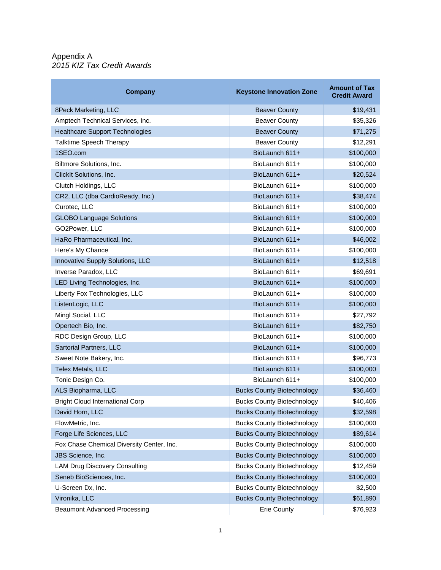### Appendix A *2015 KIZ Tax Credit Awards*

| Company                                   | <b>Keystone Innovation Zone</b>   | <b>Amount of Tax</b><br><b>Credit Award</b> |
|-------------------------------------------|-----------------------------------|---------------------------------------------|
| 8Peck Marketing, LLC                      | <b>Beaver County</b>              | \$19,431                                    |
| Amptech Technical Services, Inc.          | <b>Beaver County</b>              | \$35,326                                    |
| <b>Healthcare Support Technologies</b>    | <b>Beaver County</b>              | \$71,275                                    |
| Talktime Speech Therapy                   | <b>Beaver County</b>              | \$12,291                                    |
| 1SEO.com                                  | BioLaunch 611+                    | \$100,000                                   |
| Biltmore Solutions, Inc.                  | BioLaunch 611+                    | \$100,000                                   |
| ClickIt Solutions, Inc.                   | BioLaunch 611+                    | \$20,524                                    |
| Clutch Holdings, LLC                      | BioLaunch 611+                    | \$100,000                                   |
| CR2, LLC (dba CardioReady, Inc.)          | BioLaunch 611+                    | \$38,474                                    |
| Curotec, LLC                              | BioLaunch 611+                    | \$100,000                                   |
| <b>GLOBO Language Solutions</b>           | BioLaunch 611+                    | \$100,000                                   |
| GO2Power, LLC                             | BioLaunch 611+                    | \$100,000                                   |
| HaRo Pharmaceutical, Inc.                 | BioLaunch 611+                    | \$46,002                                    |
| Here's My Chance                          | BioLaunch 611+                    | \$100,000                                   |
| Innovative Supply Solutions, LLC          | BioLaunch 611+                    | \$12,518                                    |
| Inverse Paradox, LLC                      | BioLaunch 611+                    | \$69,691                                    |
| LED Living Technologies, Inc.             | BioLaunch 611+                    | \$100,000                                   |
| Liberty Fox Technologies, LLC             | BioLaunch 611+                    | \$100,000                                   |
| ListenLogic, LLC                          | BioLaunch 611+                    | \$100,000                                   |
| Mingl Social, LLC                         | BioLaunch 611+                    | \$27,792                                    |
| Opertech Bio, Inc.                        | BioLaunch 611+                    | \$82,750                                    |
| RDC Design Group, LLC                     | BioLaunch 611+                    | \$100,000                                   |
| Sartorial Partners, LLC                   | BioLaunch 611+                    | \$100,000                                   |
| Sweet Note Bakery, Inc.                   | BioLaunch 611+                    | \$96,773                                    |
| <b>Telex Metals, LLC</b>                  | BioLaunch 611+                    | \$100,000                                   |
| Tonic Design Co.                          | BioLaunch 611+                    | \$100,000                                   |
| ALS Biopharma, LLC                        | <b>Bucks County Biotechnology</b> | \$36,460                                    |
| <b>Bright Cloud International Corp</b>    | <b>Bucks County Biotechnology</b> | \$40,406                                    |
| David Horn, LLC                           | <b>Bucks County Biotechnology</b> | \$32,598                                    |
| FlowMetric, Inc.                          | <b>Bucks County Biotechnology</b> | \$100,000                                   |
| Forge Life Sciences, LLC                  | <b>Bucks County Biotechnology</b> | \$89,614                                    |
| Fox Chase Chemical Diversity Center, Inc. | <b>Bucks County Biotechnology</b> | \$100,000                                   |
| JBS Science, Inc.                         | <b>Bucks County Biotechnology</b> | \$100,000                                   |
| <b>LAM Drug Discovery Consulting</b>      | <b>Bucks County Biotechnology</b> | \$12,459                                    |
| Seneb BioSciences, Inc.                   | <b>Bucks County Biotechnology</b> | \$100,000                                   |
| U-Screen Dx, Inc.                         | <b>Bucks County Biotechnology</b> | \$2,500                                     |
| Vironika, LLC                             | <b>Bucks County Biotechnology</b> | \$61,890                                    |
| <b>Beaumont Advanced Processing</b>       | Erie County                       | \$76,923                                    |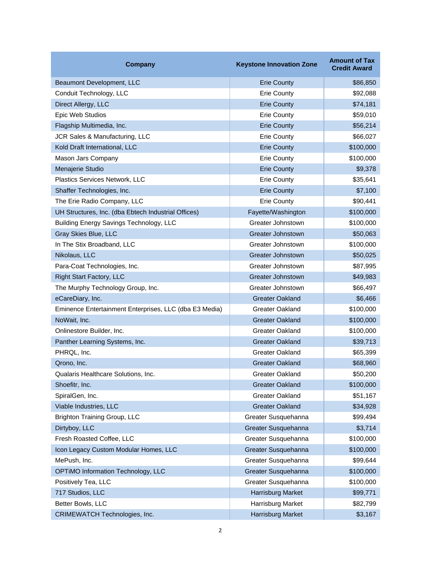| Company                                                | <b>Keystone Innovation Zone</b> | <b>Amount of Tax</b><br><b>Credit Award</b> |
|--------------------------------------------------------|---------------------------------|---------------------------------------------|
| Beaumont Development, LLC                              | <b>Erie County</b>              | \$86,850                                    |
| Conduit Technology, LLC                                | <b>Erie County</b>              | \$92,088                                    |
| Direct Allergy, LLC                                    | <b>Erie County</b>              | \$74,181                                    |
| Epic Web Studios                                       | <b>Erie County</b>              | \$59,010                                    |
| Flagship Multimedia, Inc.                              | <b>Erie County</b>              | \$56,214                                    |
| JCR Sales & Manufacturing, LLC                         | <b>Erie County</b>              | \$66,027                                    |
| Kold Draft International, LLC                          | <b>Erie County</b>              | \$100,000                                   |
| Mason Jars Company                                     | <b>Erie County</b>              | \$100,000                                   |
| Menajerie Studio                                       | <b>Erie County</b>              | \$9,378                                     |
| Plastics Services Network, LLC                         | <b>Erie County</b>              | \$35,641                                    |
| Shaffer Technologies, Inc.                             | <b>Erie County</b>              | \$7,100                                     |
| The Erie Radio Company, LLC                            | <b>Erie County</b>              | \$90,441                                    |
| UH Structures, Inc. (dba Ebtech Industrial Offices)    | Fayette/Washington              | \$100,000                                   |
| Building Energy Savings Technology, LLC                | Greater Johnstown               | \$100,000                                   |
| Gray Skies Blue, LLC                                   | <b>Greater Johnstown</b>        | \$50,063                                    |
| In The Stix Broadband, LLC                             | Greater Johnstown               | \$100,000                                   |
| Nikolaus, LLC                                          | <b>Greater Johnstown</b>        | \$50,025                                    |
| Para-Coat Technologies, Inc.                           | Greater Johnstown               | \$87,995                                    |
| <b>Right Start Factory, LLC</b>                        | <b>Greater Johnstown</b>        | \$49,983                                    |
| The Murphy Technology Group, Inc.                      | Greater Johnstown               | \$66,497                                    |
| eCareDiary, Inc.                                       | <b>Greater Oakland</b>          | \$6,466                                     |
| Eminence Entertainment Enterprises, LLC (dba E3 Media) | Greater Oakland                 | \$100,000                                   |
| NoWait, Inc.                                           | <b>Greater Oakland</b>          | \$100,000                                   |
| Onlinestore Builder, Inc.                              | Greater Oakland                 | \$100,000                                   |
| Panther Learning Systems, Inc.                         | <b>Greater Oakland</b>          | \$39,713                                    |
| PHRQL, Inc.                                            | Greater Oakland                 | \$65,399                                    |
| Qrono, Inc.                                            | <b>Greater Oakland</b>          | \$68,960                                    |
| Qualaris Healthcare Solutions, Inc.                    | <b>Greater Oakland</b>          | \$50,200                                    |
| Shoefitr, Inc.                                         | <b>Greater Oakland</b>          | \$100,000                                   |
| SpiralGen, Inc.                                        | <b>Greater Oakland</b>          | \$51,167                                    |
| Viable Industries, LLC                                 | <b>Greater Oakland</b>          | \$34,928                                    |
| <b>Brighton Training Group, LLC</b>                    | Greater Susquehanna             | \$99,494                                    |
| Dirtyboy, LLC                                          | Greater Susquehanna             | \$3,714                                     |
| Fresh Roasted Coffee, LLC                              | Greater Susquehanna             | \$100,000                                   |
| Icon Legacy Custom Modular Homes, LLC                  | Greater Susquehanna             | \$100,000                                   |
| MePush, Inc.                                           | Greater Susquehanna             | \$99,644                                    |
| OPTIMO Information Technology, LLC                     | Greater Susquehanna             | \$100,000                                   |
| Positively Tea, LLC                                    | Greater Susquehanna             | \$100,000                                   |
| 717 Studios, LLC                                       | Harrisburg Market               | \$99,771                                    |
| Better Bowls, LLC                                      | Harrisburg Market               | \$82,799                                    |
| CRIMEWATCH Technologies, Inc.                          | Harrisburg Market               | \$3,167                                     |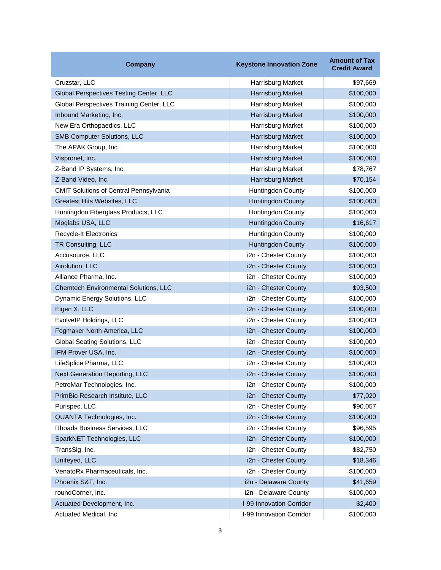| <b>Company</b>                                | <b>Keystone Innovation Zone</b> | <b>Amount of Tax</b><br><b>Credit Award</b> |
|-----------------------------------------------|---------------------------------|---------------------------------------------|
| Cruzstar, LLC                                 | Harrisburg Market               | \$97,669                                    |
| Global Perspectives Testing Center, LLC       | <b>Harrisburg Market</b>        | \$100,000                                   |
| Global Perspectives Training Center, LLC      | Harrisburg Market               | \$100,000                                   |
| Inbound Marketing, Inc.                       | Harrisburg Market               | \$100,000                                   |
| New Era Orthopaedics, LLC                     | Harrisburg Market               | \$100,000                                   |
| <b>SMB Computer Solutions, LLC</b>            | Harrisburg Market               | \$100,000                                   |
| The APAK Group, Inc.                          | Harrisburg Market               | \$100,000                                   |
| Vispronet, Inc.                               | Harrisburg Market               | \$100,000                                   |
| Z-Band IP Systems, Inc.                       | Harrisburg Market               | \$78,767                                    |
| Z-Band Video, Inc.                            | Harrisburg Market               | \$70,154                                    |
| <b>CMIT Solutions of Central Pennsylvania</b> | Huntingdon County               | \$100,000                                   |
| Greatest Hits Websites, LLC                   | <b>Huntingdon County</b>        | \$100,000                                   |
| Huntingdon Fiberglass Products, LLC           | Huntingdon County               | \$100,000                                   |
| Moglabs USA, LLC                              | <b>Huntingdon County</b>        | \$16,617                                    |
| Recycle-It Electronics                        | Huntingdon County               | \$100,000                                   |
| TR Consulting, LLC                            | <b>Huntingdon County</b>        | \$100,000                                   |
| Accusource, LLC                               | i2n - Chester County            | \$100,000                                   |
| Airolution, LLC                               | i2n - Chester County            | \$100,000                                   |
| Alliance Pharma, Inc.                         | i2n - Chester County            | \$100,000                                   |
| Chemtech Environmental Solutions, LLC         | i2n - Chester County            | \$93,500                                    |
| Dynamic Energy Solutions, LLC                 | i2n - Chester County            | \$100,000                                   |
| Eigen X, LLC                                  | i2n - Chester County            | \$100,000                                   |
| EvolveIP Holdings, LLC                        | i2n - Chester County            | \$100,000                                   |
| Fogmaker North America, LLC                   | i2n - Chester County            | \$100,000                                   |
| Global Seating Solutions, LLC                 | i2n - Chester County            | \$100,000                                   |
| IFM Prover USA, Inc.                          | i2n - Chester County            | \$100,000                                   |
| LifeSplice Pharma, LLC                        | i2n - Chester County            | \$100,000                                   |
| <b>Next Generation Reporting, LLC</b>         | i2n - Chester County            | \$100,000                                   |
| PetroMar Technologies, Inc.                   | i2n - Chester County            | \$100,000                                   |
| PrimBio Research Institute, LLC               | i2n - Chester County            | \$77,020                                    |
| Purispec, LLC                                 | i2n - Chester County            | \$90,057                                    |
| QUANTA Technologies, Inc.                     | i2n - Chester County            | \$100,000                                   |
| Rhoads Business Services, LLC                 | i2n - Chester County            | \$96,595                                    |
| SparkNET Technologies, LLC                    | i2n - Chester County            | \$100,000                                   |
| TransSig, Inc.                                | i2n - Chester County            | \$82,750                                    |
| Unifeyed, LLC                                 | i2n - Chester County            | \$18,346                                    |
| VenatoRx Pharmaceuticals, Inc.                | i2n - Chester County            | \$100,000                                   |
| Phoenix S&T, Inc.                             | i2n - Delaware County           | \$41,659                                    |
| roundCorner, Inc.                             | i2n - Delaware County           | \$100,000                                   |
| Actuated Development, Inc.                    | <b>I-99 Innovation Corridor</b> | \$2,400                                     |
| Actuated Medical, Inc.                        | I-99 Innovation Corridor        | \$100,000                                   |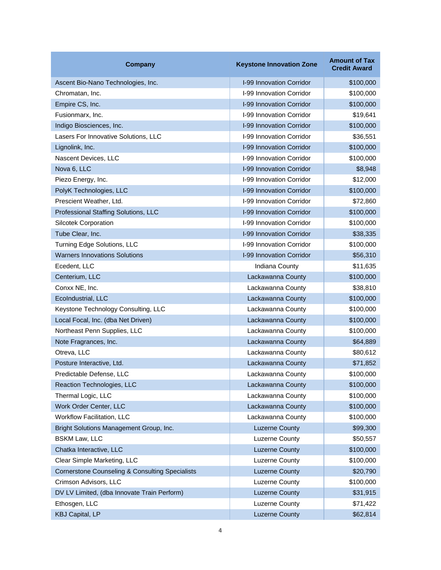| <b>Company</b>                                             | <b>Keystone Innovation Zone</b> | <b>Amount of Tax</b><br><b>Credit Award</b> |
|------------------------------------------------------------|---------------------------------|---------------------------------------------|
| Ascent Bio-Nano Technologies, Inc.                         | <b>I-99 Innovation Corridor</b> | \$100,000                                   |
| Chromatan, Inc.                                            | I-99 Innovation Corridor        | \$100,000                                   |
| Empire CS, Inc.                                            | <b>I-99 Innovation Corridor</b> | \$100,000                                   |
| Fusionmarx, Inc.                                           | I-99 Innovation Corridor        | \$19,641                                    |
| Indigo Biosciences, Inc.                                   | I-99 Innovation Corridor        | \$100,000                                   |
| Lasers For Innovative Solutions, LLC                       | I-99 Innovation Corridor        | \$36,551                                    |
| Lignolink, Inc.                                            | I-99 Innovation Corridor        | \$100,000                                   |
| Nascent Devices, LLC                                       | I-99 Innovation Corridor        | \$100,000                                   |
| Nova 6, LLC                                                | <b>I-99 Innovation Corridor</b> | \$8,948                                     |
| Piezo Energy, Inc.                                         | <b>I-99 Innovation Corridor</b> | \$12,000                                    |
| PolyK Technologies, LLC                                    | I-99 Innovation Corridor        | \$100,000                                   |
| Prescient Weather, Ltd.                                    | I-99 Innovation Corridor        | \$72,860                                    |
| Professional Staffing Solutions, LLC                       | <b>I-99 Innovation Corridor</b> | \$100,000                                   |
| <b>Silcotek Corporation</b>                                | I-99 Innovation Corridor        | \$100,000                                   |
| Tube Clear, Inc.                                           | I-99 Innovation Corridor        | \$38,335                                    |
| Turning Edge Solutions, LLC                                | I-99 Innovation Corridor        | \$100,000                                   |
| <b>Warners Innovations Solutions</b>                       | I-99 Innovation Corridor        | \$56,310                                    |
| Ecedent, LLC                                               | Indiana County                  | \$11,635                                    |
| Centerium, LLC                                             | Lackawanna County               | \$100,000                                   |
| Conxx NE, Inc.                                             | Lackawanna County               | \$38,810                                    |
| EcoIndustrial, LLC                                         | Lackawanna County               | \$100,000                                   |
| Keystone Technology Consulting, LLC                        | Lackawanna County               | \$100,000                                   |
| Local Focal, Inc. (dba Net Driven)                         | Lackawanna County               | \$100,000                                   |
| Northeast Penn Supplies, LLC                               | Lackawanna County               | \$100,000                                   |
| Note Fragrances, Inc.                                      | Lackawanna County               | \$64,889                                    |
| Otreva, LLC                                                | Lackawanna County               | \$80,612                                    |
| Posture Interactive, Ltd.                                  | Lackawanna County               | \$71,852                                    |
| Predictable Defense, LLC                                   | Lackawanna County               | \$100,000                                   |
| Reaction Technologies, LLC                                 | Lackawanna County               | \$100,000                                   |
| Thermal Logic, LLC                                         | Lackawanna County               | \$100,000                                   |
| Work Order Center, LLC                                     | Lackawanna County               | \$100,000                                   |
| Workflow Facilitation, LLC                                 | Lackawanna County               | \$100,000                                   |
| Bright Solutions Management Group, Inc.                    | <b>Luzerne County</b>           | \$99,300                                    |
| <b>BSKM Law, LLC</b>                                       | <b>Luzerne County</b>           | \$50,557                                    |
| Chatka Interactive, LLC                                    | <b>Luzerne County</b>           | \$100,000                                   |
| Clear Simple Marketing, LLC                                | Luzerne County                  | \$100,000                                   |
| <b>Cornerstone Counseling &amp; Consulting Specialists</b> | <b>Luzerne County</b>           | \$20,790                                    |
| Crimson Advisors, LLC                                      | Luzerne County                  | \$100,000                                   |
| DV LV Limited, (dba Innovate Train Perform)                | <b>Luzerne County</b>           | \$31,915                                    |
| Ethosgen, LLC                                              | Luzerne County                  | \$71,422                                    |
| <b>KBJ Capital, LP</b>                                     | <b>Luzerne County</b>           | \$62,814                                    |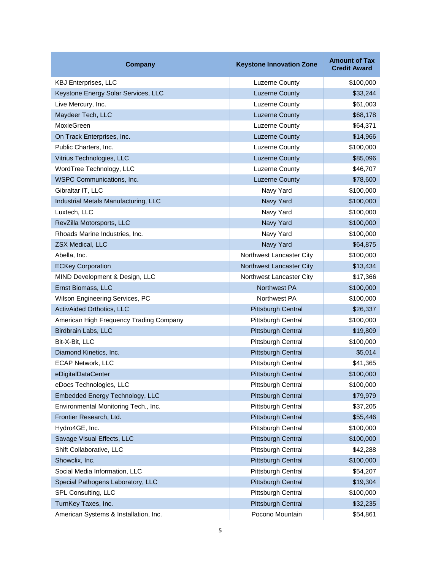| <b>Company</b>                          | <b>Keystone Innovation Zone</b> | <b>Amount of Tax</b><br><b>Credit Award</b> |
|-----------------------------------------|---------------------------------|---------------------------------------------|
| <b>KBJ Enterprises, LLC</b>             | <b>Luzerne County</b>           | \$100,000                                   |
| Keystone Energy Solar Services, LLC     | <b>Luzerne County</b>           | \$33,244                                    |
| Live Mercury, Inc.                      | Luzerne County                  | \$61,003                                    |
| Maydeer Tech, LLC                       | <b>Luzerne County</b>           | \$68,178                                    |
| <b>MoxieGreen</b>                       | <b>Luzerne County</b>           | \$64,371                                    |
| On Track Enterprises, Inc.              | <b>Luzerne County</b>           | \$14,966                                    |
| Public Charters, Inc.                   | <b>Luzerne County</b>           | \$100,000                                   |
| Vitrius Technologies, LLC               | <b>Luzerne County</b>           | \$85,096                                    |
| WordTree Technology, LLC                | <b>Luzerne County</b>           | \$46,707                                    |
| WSPC Communications, Inc.               | <b>Luzerne County</b>           | \$78,600                                    |
| Gibraltar IT, LLC                       | Navy Yard                       | \$100,000                                   |
| Industrial Metals Manufacturing, LLC    | Navy Yard                       | \$100,000                                   |
| Luxtech, LLC                            | Navy Yard                       | \$100,000                                   |
| RevZilla Motorsports, LLC               | Navy Yard                       | \$100,000                                   |
| Rhoads Marine Industries, Inc.          | Navy Yard                       | \$100,000                                   |
| ZSX Medical, LLC                        | Navy Yard                       | \$64,875                                    |
| Abella, Inc.                            | Northwest Lancaster City        | \$100,000                                   |
| <b>ECKey Corporation</b>                | Northwest Lancaster City        | \$13,434                                    |
| MIND Development & Design, LLC          | Northwest Lancaster City        | \$17,366                                    |
| Ernst Biomass, LLC                      | Northwest PA                    | \$100,000                                   |
| Wilson Engineering Services, PC         | Northwest PA                    | \$100,000                                   |
| ActivAided Orthotics, LLC               | Pittsburgh Central              | \$26,337                                    |
| American High Frequency Trading Company | Pittsburgh Central              | \$100,000                                   |
| Birdbrain Labs, LLC                     | Pittsburgh Central              | \$19,809                                    |
| Bit-X-Bit, LLC                          | Pittsburgh Central              | \$100,000                                   |
| Diamond Kinetics, Inc.                  | Pittsburgh Central              | \$5,014                                     |
| <b>ECAP Network, LLC</b>                | Pittsburgh Central              | \$41,365                                    |
| eDigitalDataCenter                      | <b>Pittsburgh Central</b>       | \$100,000                                   |
| eDocs Technologies, LLC                 | Pittsburgh Central              | \$100,000                                   |
| Embedded Energy Technology, LLC         | Pittsburgh Central              | \$79,979                                    |
| Environmental Monitoring Tech., Inc.    | Pittsburgh Central              | \$37,205                                    |
| Frontier Research, Ltd.                 | Pittsburgh Central              | \$55,446                                    |
| Hydro4GE, Inc.                          | Pittsburgh Central              | \$100,000                                   |
| Savage Visual Effects, LLC              | Pittsburgh Central              | \$100,000                                   |
| Shift Collaborative, LLC                | Pittsburgh Central              | \$42,288                                    |
| Showclix, Inc.                          | <b>Pittsburgh Central</b>       | \$100,000                                   |
| Social Media Information, LLC           | Pittsburgh Central              | \$54,207                                    |
| Special Pathogens Laboratory, LLC       | Pittsburgh Central              | \$19,304                                    |
| SPL Consulting, LLC                     | Pittsburgh Central              | \$100,000                                   |
| TurnKey Taxes, Inc.                     | Pittsburgh Central              | \$32,235                                    |
| American Systems & Installation, Inc.   | Pocono Mountain                 | \$54,861                                    |
| 5                                       |                                 |                                             |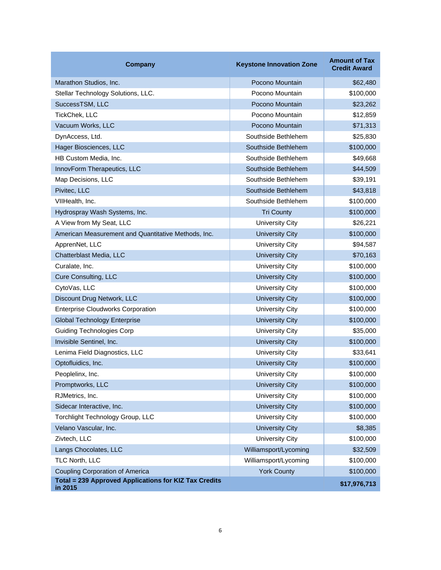| Company                                                          | <b>Keystone Innovation Zone</b> | <b>Amount of Tax</b><br><b>Credit Award</b> |
|------------------------------------------------------------------|---------------------------------|---------------------------------------------|
| Marathon Studios, Inc.                                           | Pocono Mountain                 | \$62,480                                    |
| Stellar Technology Solutions, LLC.                               | Pocono Mountain                 | \$100,000                                   |
| SuccessTSM, LLC                                                  | Pocono Mountain                 | \$23,262                                    |
| TickChek, LLC                                                    | Pocono Mountain                 | \$12,859                                    |
| Vacuum Works, LLC                                                | Pocono Mountain                 | \$71,313                                    |
| DynAccess, Ltd.                                                  | Southside Bethlehem             | \$25,830                                    |
| Hager Biosciences, LLC                                           | Southside Bethlehem             | \$100,000                                   |
| HB Custom Media, Inc.                                            | Southside Bethlehem             | \$49,668                                    |
| InnovForm Therapeutics, LLC                                      | Southside Bethlehem             | \$44,509                                    |
| Map Decisions, LLC                                               | Southside Bethlehem             | \$39,191                                    |
| Pivitec, LLC                                                     | Southside Bethlehem             | \$43,818                                    |
| VIIHealth, Inc.                                                  | Southside Bethlehem             | \$100,000                                   |
| Hydrospray Wash Systems, Inc.                                    | <b>Tri County</b>               | \$100,000                                   |
| A View from My Seat, LLC                                         | University City                 | \$26,221                                    |
| American Measurement and Quantitative Methods, Inc.              | <b>University City</b>          | \$100,000                                   |
| ApprenNet, LLC                                                   | University City                 | \$94,587                                    |
| Chatterblast Media, LLC                                          | <b>University City</b>          | \$70,163                                    |
| Curalate, Inc.                                                   | University City                 | \$100,000                                   |
| <b>Cure Consulting, LLC</b>                                      | <b>University City</b>          | \$100,000                                   |
| CytoVas, LLC                                                     | University City                 | \$100,000                                   |
| Discount Drug Network, LLC                                       | <b>University City</b>          | \$100,000                                   |
| <b>Enterprise Cloudworks Corporation</b>                         | University City                 | \$100,000                                   |
| <b>Global Technology Enterprise</b>                              | <b>University City</b>          | \$100,000                                   |
| <b>Guiding Technologies Corp</b>                                 | <b>University City</b>          | \$35,000                                    |
| Invisible Sentinel, Inc.                                         | <b>University City</b>          | \$100,000                                   |
| Lenima Field Diagnostics, LLC                                    | University City                 | \$33,641                                    |
| Optofluidics, Inc.                                               | <b>University City</b>          | \$100,000                                   |
| Peoplelinx, Inc.                                                 | University City                 | \$100,000                                   |
| Promptworks, LLC                                                 | <b>University City</b>          | \$100,000                                   |
| RJMetrics, Inc.                                                  | <b>University City</b>          | \$100,000                                   |
| Sidecar Interactive, Inc.                                        | <b>University City</b>          | \$100,000                                   |
| Torchlight Technology Group, LLC                                 | <b>University City</b>          | \$100,000                                   |
| Velano Vascular, Inc.                                            | <b>University City</b>          | \$8,385                                     |
| Zivtech, LLC                                                     | <b>University City</b>          | \$100,000                                   |
| Langs Chocolates, LLC                                            | Williamsport/Lycoming           | \$32,509                                    |
| TLC North, LLC                                                   | Williamsport/Lycoming           | \$100,000                                   |
| <b>Coupling Corporation of America</b>                           | <b>York County</b>              | \$100,000                                   |
| Total = 239 Approved Applications for KIZ Tax Credits<br>in 2015 |                                 | \$17,976,713                                |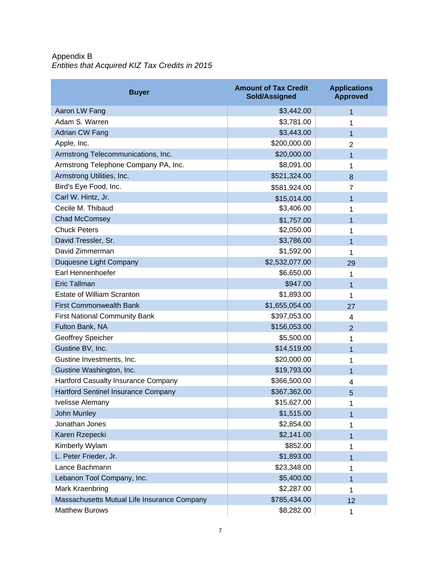Appendix B *Entities that Acquired KIZ Tax Credits in 2015*

| <b>Buyer</b>                                | <b>Amount of Tax Credit</b><br>Sold/Assigned | <b>Applications</b><br><b>Approved</b> |
|---------------------------------------------|----------------------------------------------|----------------------------------------|
| <b>Aaron LW Fang</b>                        | \$3,442.00                                   | 1                                      |
| Adam S. Warren                              | \$3,781.00                                   | 1                                      |
| Adrian CW Fang                              | \$3,443.00                                   | 1                                      |
| Apple, Inc.                                 | \$200,000.00                                 | $\overline{2}$                         |
| Armstrong Telecommunications, Inc.          | \$20,000.00                                  | 1                                      |
| Armstrong Telephone Company PA, Inc.        | \$8,091.00                                   | 1                                      |
| Armstrong Utilities, Inc.                   | \$521,324.00                                 | 8                                      |
| Bird's Eye Food, Inc.                       | \$581,924.00                                 | $\overline{7}$                         |
| Carl W. Hintz, Jr.                          | \$15,014.00                                  | 1                                      |
| Cecile M. Thibaud                           | \$3,406.00                                   | 1                                      |
| <b>Chad McComsey</b>                        | \$1,757.00                                   | 1                                      |
| <b>Chuck Peters</b>                         | \$2,050.00                                   | 1                                      |
| David Tressler, Sr.                         | \$3,786.00                                   | 1                                      |
| David Zimmerman                             | \$1,592.00                                   | 1                                      |
| Duquesne Light Company                      | \$2,532,077.00                               | 29                                     |
| Earl Hennenhoefer                           | \$6,650.00                                   | 1                                      |
| <b>Eric Tallman</b>                         | \$947.00                                     | 1                                      |
| <b>Estate of William Scranton</b>           | \$1,893.00                                   | 1                                      |
| <b>First Commonwealth Bank</b>              | \$1,655,054.00                               | 27                                     |
| <b>First National Community Bank</b>        | \$397,053.00                                 | 4                                      |
| Fulton Bank, NA                             | \$156,053.00                                 | 2                                      |
| Geoffrey Speicher                           | \$5,500.00                                   | 1                                      |
| Gustine BV, Inc.                            | \$14,519.00                                  | 1                                      |
| Gustine Investments, Inc.                   | \$20,000.00                                  | 1                                      |
| Gustine Washington, Inc.                    | \$19,793.00                                  | 1                                      |
| Hartford Casualty Insurance Company         | \$366,500.00                                 | 4                                      |
| <b>Hartford Sentinel Insurance Company</b>  | \$367,362.00                                 | 5                                      |
| Ivelisse Alemany                            | \$15,627.00                                  | 1                                      |
| John Munley                                 | \$1,515.00                                   | 1                                      |
| Jonathan Jones                              | \$2,854.00                                   | 1                                      |
| Karen Rzepecki                              | \$2,141.00                                   | 1                                      |
| Kimberly Wylam                              | \$852.00                                     | 1                                      |
| L. Peter Frieder, Jr.                       | \$1,893.00                                   | 1                                      |
| Lance Bachmann                              | \$23,348.00                                  | 1                                      |
| Lebanon Tool Company, Inc.                  | \$5,400.00                                   | 1                                      |
| Mark Kraenbring                             | \$2,287.00                                   | 1                                      |
| Massachusetts Mutual Life Insurance Company | \$785,434.00                                 | 12                                     |
| <b>Matthew Burows</b>                       | \$8,282.00                                   | 1                                      |